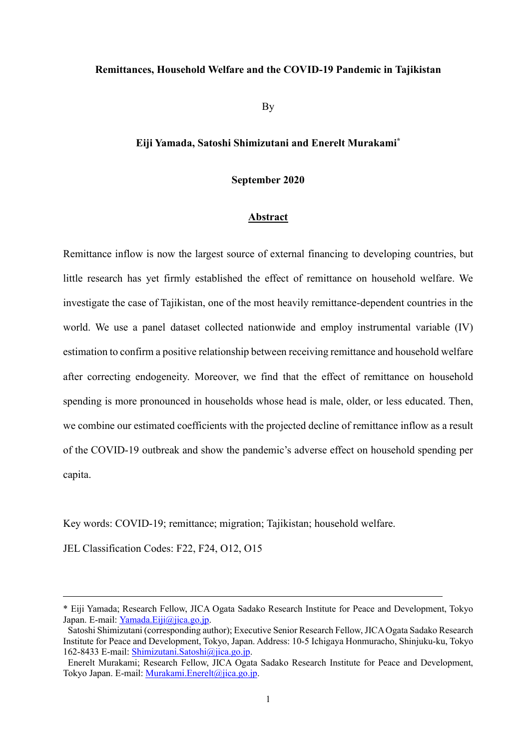#### **Remittances, Household Welfare and the COVID-19 Pandemic in Tajikistan**

By

### **Eiji Yamada, Satoshi Shimizutani and Enerelt Murakami\***

#### **September 2020**

#### **Abstract**

Remittance inflow is now the largest source of external financing to developing countries, but little research has yet firmly established the effect of remittance on household welfare. We investigate the case of Tajikistan, one of the most heavily remittance-dependent countries in the world. We use a panel dataset collected nationwide and employ instrumental variable (IV) estimation to confirm a positive relationship between receiving remittance and household welfare after correcting endogeneity. Moreover, we find that the effect of remittance on household spending is more pronounced in households whose head is male, older, or less educated. Then, we combine our estimated coefficients with the projected decline of remittance inflow as a result of the COVID-19 outbreak and show the pandemic's adverse effect on household spending per capita.

Key words: COVID-19; remittance; migration; Tajikistan; household welfare.

JEL Classification Codes: F22, F24, O12, O15

l

<sup>\*</sup> Eiji Yamada; Research Fellow, JICA Ogata Sadako Research Institute for Peace and Development, Tokyo Japan. E-mail: [Yamada.Eiji@jica.go.jp.](mailto:Yamada.Eiji@jica.go.jp)

Satoshi Shimizutani (corresponding author); Executive Senior Research Fellow, JICA Ogata Sadako Research Institute for Peace and Development, Tokyo, Japan. Address: 10-5 Ichigaya Honmuracho, Shinjuku-ku, Tokyo 162-8433 E-mail: [Shimizutani.Satoshi@jica.go.jp.](mailto:Shimizutani.Satoshi@jica.go.jp)

Enerelt Murakami; Research Fellow, JICA Ogata Sadako Research Institute for Peace and Development, Tokyo Japan. E-mail: [Murakami.Enerelt@jica.go.jp.](mailto:Murakami.Enerelt@jica.go.jp)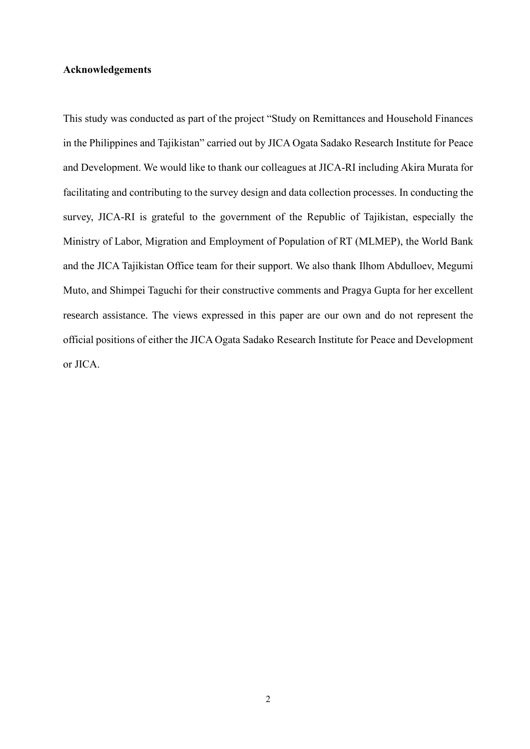#### **Acknowledgements**

This study was conducted as part of the project "Study on Remittances and Household Finances in the Philippines and Tajikistan" carried out by JICA Ogata Sadako Research Institute for Peace and Development. We would like to thank our colleagues at JICA-RI including Akira Murata for facilitating and contributing to the survey design and data collection processes. In conducting the survey, JICA-RI is grateful to the government of the Republic of Tajikistan, especially the Ministry of Labor, Migration and Employment of Population of RT (MLMEP), the World Bank and the JICA Tajikistan Office team for their support. We also thank Ilhom Abdulloev, Megumi Muto, and Shimpei Taguchi for their constructive comments and Pragya Gupta for her excellent research assistance. The views expressed in this paper are our own and do not represent the official positions of either the JICA Ogata Sadako Research Institute for Peace and Development or JICA.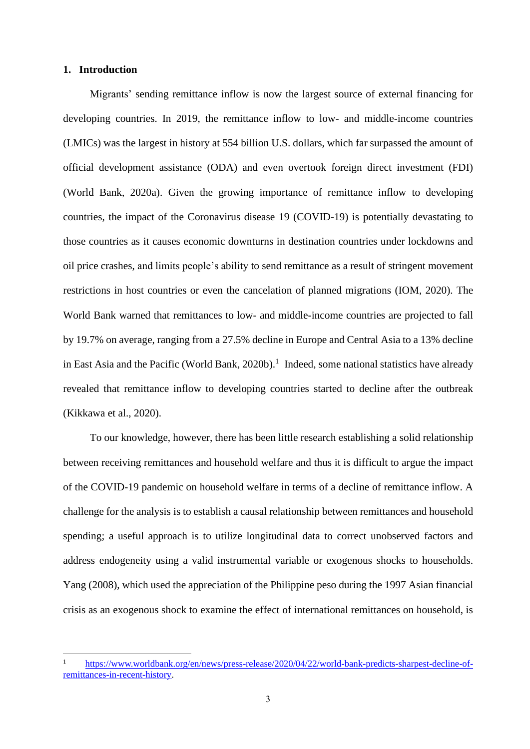#### **1. Introduction**

 Migrants' sending remittance inflow is now the largest source of external financing for developing countries. In 2019, the remittance inflow to low- and middle-income countries (LMICs) was the largest in history at 554 billion U.S. dollars, which far surpassed the amount of official development assistance (ODA) and even overtook foreign direct investment (FDI) (World Bank, 2020a). Given the growing importance of remittance inflow to developing countries, the impact of the Coronavirus disease 19 (COVID-19) is potentially devastating to those countries as it causes economic downturns in destination countries under lockdowns and oil price crashes, and limits people's ability to send remittance as a result of stringent movement restrictions in host countries or even the cancelation of planned migrations (IOM, 2020). The World Bank warned that remittances to low- and middle-income countries are projected to fall by 19.7% on average, ranging from a 27.5% decline in Europe and Central Asia to a 13% decline in East Asia and the Pacific (World Bank, 2020b).<sup>1</sup> Indeed, some national statistics have already revealed that remittance inflow to developing countries started to decline after the outbreak (Kikkawa et al., 2020).

To our knowledge, however, there has been little research establishing a solid relationship between receiving remittances and household welfare and thus it is difficult to argue the impact of the COVID-19 pandemic on household welfare in terms of a decline of remittance inflow. A challenge for the analysis is to establish a causal relationship between remittances and household spending; a useful approach is to utilize longitudinal data to correct unobserved factors and address endogeneity using a valid instrumental variable or exogenous shocks to households. Yang (2008), which used the appreciation of the Philippine peso during the 1997 Asian financial crisis as an exogenous shock to examine the effect of international remittances on household, is

<sup>1</sup> [https://www.worldbank.org/en/news/press-release/2020/04/22/world-bank-predicts-sharpest-decline-of](https://www.worldbank.org/en/news/press-release/2020/04/22/world-bank-predicts-sharpest-decline-of-remittances-in-recent-history)[remittances-in-recent-history.](https://www.worldbank.org/en/news/press-release/2020/04/22/world-bank-predicts-sharpest-decline-of-remittances-in-recent-history)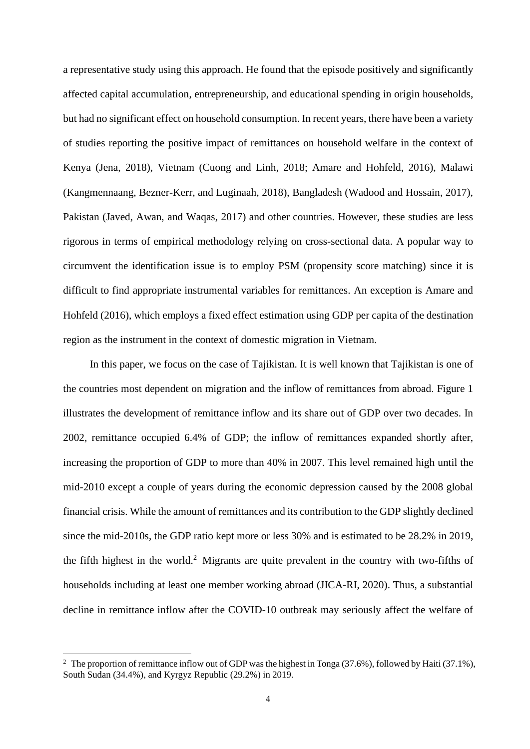a representative study using this approach. He found that the episode positively and significantly affected capital accumulation, entrepreneurship, and educational spending in origin households, but had no significant effect on household consumption. In recent years, there have been a variety of studies reporting the positive impact of remittances on household welfare in the context of Kenya (Jena, 2018), Vietnam (Cuong and Linh, 2018; Amare and Hohfeld, 2016), Malawi (Kangmennaang, Bezner-Kerr, and Luginaah, 2018), Bangladesh (Wadood and Hossain, 2017), Pakistan (Javed, Awan, and Waqas, 2017) and other countries. However, these studies are less rigorous in terms of empirical methodology relying on cross-sectional data. A popular way to circumvent the identification issue is to employ PSM (propensity score matching) since it is difficult to find appropriate instrumental variables for remittances. An exception is Amare and Hohfeld (2016), which employs a fixed effect estimation using GDP per capita of the destination region as the instrument in the context of domestic migration in Vietnam.

In this paper, we focus on the case of Tajikistan. It is well known that Tajikistan is one of the countries most dependent on migration and the inflow of remittances from abroad. Figure 1 illustrates the development of remittance inflow and its share out of GDP over two decades. In 2002, remittance occupied 6.4% of GDP; the inflow of remittances expanded shortly after, increasing the proportion of GDP to more than 40% in 2007. This level remained high until the mid-2010 except a couple of years during the economic depression caused by the 2008 global financial crisis. While the amount of remittances and its contribution to the GDP slightly declined since the mid-2010s, the GDP ratio kept more or less 30% and is estimated to be 28.2% in 2019, the fifth highest in the world.<sup>2</sup> Migrants are quite prevalent in the country with two-fifths of households including at least one member working abroad (JICA-RI, 2020). Thus, a substantial decline in remittance inflow after the COVID-10 outbreak may seriously affect the welfare of

<sup>&</sup>lt;sup>2</sup> The proportion of remittance inflow out of GDP was the highest in Tonga (37.6%), followed by Haiti (37.1%), South Sudan (34.4%), and Kyrgyz Republic (29.2%) in 2019.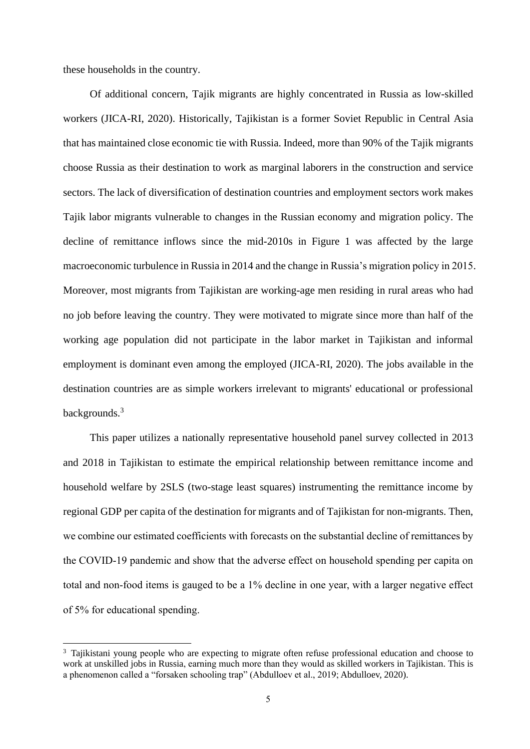these households in the country.

Of additional concern, Tajik migrants are highly concentrated in Russia as low-skilled workers (JICA-RI, 2020). Historically, Tajikistan is a former Soviet Republic in Central Asia that has maintained close economic tie with Russia. Indeed, more than 90% of the Tajik migrants choose Russia as their destination to work as marginal laborers in the construction and service sectors. The lack of diversification of destination countries and employment sectors work makes Tajik labor migrants vulnerable to changes in the Russian economy and migration policy. The decline of remittance inflows since the mid-2010s in Figure 1 was affected by the large macroeconomic turbulence in Russia in 2014 and the change in Russia's migration policy in 2015. Moreover, most migrants from Tajikistan are working-age men residing in rural areas who had no job before leaving the country. They were motivated to migrate since more than half of the working age population did not participate in the labor market in Tajikistan and informal employment is dominant even among the employed (JICA-RI, 2020). The jobs available in the destination countries are as simple workers irrelevant to migrants' educational or professional backgrounds.<sup>3</sup>

 This paper utilizes a nationally representative household panel survey collected in 2013 and 2018 in Tajikistan to estimate the empirical relationship between remittance income and household welfare by 2SLS (two-stage least squares) instrumenting the remittance income by regional GDP per capita of the destination for migrants and of Tajikistan for non-migrants. Then, we combine our estimated coefficients with forecasts on the substantial decline of remittances by the COVID-19 pandemic and show that the adverse effect on household spending per capita on total and non-food items is gauged to be a 1% decline in one year, with a larger negative effect of 5% for educational spending.

<sup>&</sup>lt;sup>3</sup> Tajikistani young people who are expecting to migrate often refuse professional education and choose to work at unskilled jobs in Russia, earning much more than they would as skilled workers in Tajikistan. This is a phenomenon called a "forsaken schooling trap" (Abdulloev et al., 2019; Abdulloev, 2020).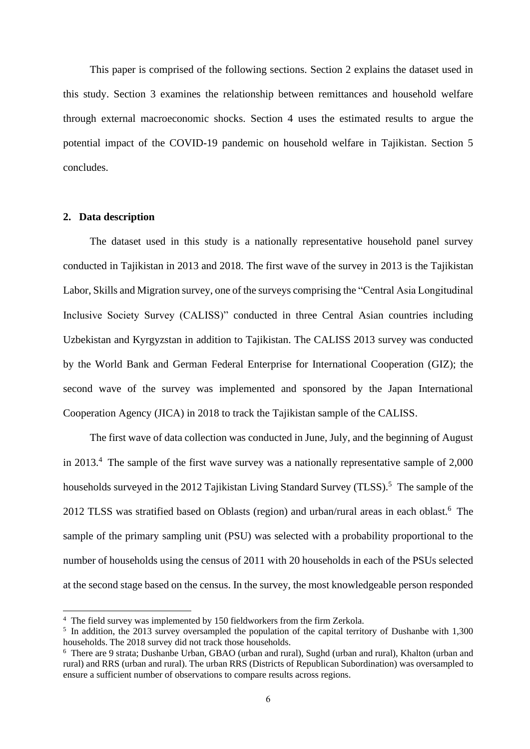This paper is comprised of the following sections. Section 2 explains the dataset used in this study. Section 3 examines the relationship between remittances and household welfare through external macroeconomic shocks. Section 4 uses the estimated results to argue the potential impact of the COVID-19 pandemic on household welfare in Tajikistan. Section 5 concludes.

#### **2. Data description**

 The dataset used in this study is a nationally representative household panel survey conducted in Tajikistan in 2013 and 2018. The first wave of the survey in 2013 is the Tajikistan Labor, Skills and Migration survey, one of the surveys comprising the "Central Asia Longitudinal Inclusive Society Survey (CALISS)" conducted in three Central Asian countries including Uzbekistan and Kyrgyzstan in addition to Tajikistan. The CALISS 2013 survey was conducted by the World Bank and German Federal Enterprise for International Cooperation (GIZ); the second wave of the survey was implemented and sponsored by the Japan International Cooperation Agency (JICA) in 2018 to track the Tajikistan sample of the CALISS.

 The first wave of data collection was conducted in June, July, and the beginning of August in 2013. <sup>4</sup> The sample of the first wave survey was a nationally representative sample of 2,000 households surveyed in the 2012 Tajikistan Living Standard Survey (TLSS).<sup>5</sup> The sample of the 2012 TLSS was stratified based on Oblasts (region) and urban/rural areas in each oblast.<sup>6</sup> The sample of the primary sampling unit (PSU) was selected with a probability proportional to the number of households using the census of 2011 with 20 households in each of the PSUs selected at the second stage based on the census. In the survey, the most knowledgeable person responded

<sup>4</sup> The field survey was implemented by 150 fieldworkers from the firm Zerkola.

<sup>&</sup>lt;sup>5</sup> In addition, the 2013 survey oversampled the population of the capital territory of Dushanbe with 1,300 households. The 2018 survey did not track those households.

<sup>6</sup> There are 9 strata; Dushanbe Urban, GBAO (urban and rural), Sughd (urban and rural), Khalton (urban and rural) and RRS (urban and rural). The urban RRS (Districts of Republican Subordination) was oversampled to ensure a sufficient number of observations to compare results across regions.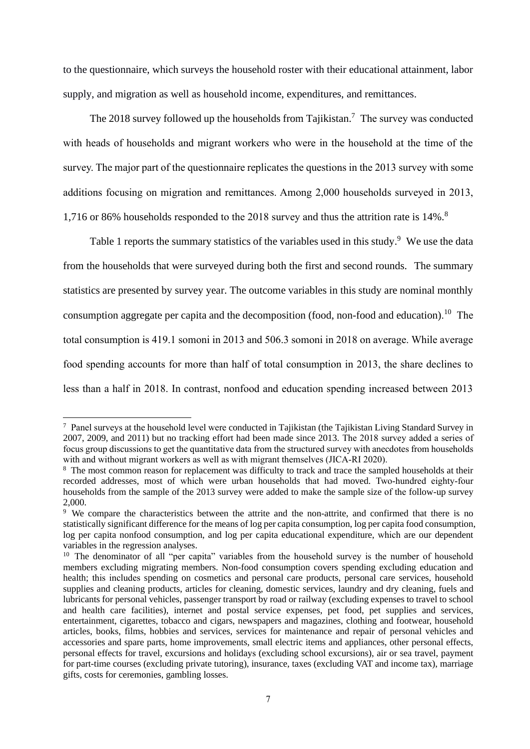to the questionnaire, which surveys the household roster with their educational attainment, labor supply, and migration as well as household income, expenditures, and remittances.

The 2018 survey followed up the households from Tajikistan.<sup>7</sup> The survey was conducted with heads of households and migrant workers who were in the household at the time of the survey. The major part of the questionnaire replicates the questions in the 2013 survey with some additions focusing on migration and remittances. Among 2,000 households surveyed in 2013, 1,716 or 86% households responded to the 2018 survey and thus the attrition rate is 14%.<sup>8</sup>

Table 1 reports the summary statistics of the variables used in this study.<sup>9</sup> We use the data from the households that were surveyed during both the first and second rounds. The summary statistics are presented by survey year. The outcome variables in this study are nominal monthly consumption aggregate per capita and the decomposition (food, non-food and education).<sup>10</sup> The total consumption is 419.1 somoni in 2013 and 506.3 somoni in 2018 on average. While average food spending accounts for more than half of total consumption in 2013, the share declines to less than a half in 2018. In contrast, nonfood and education spending increased between 2013

<sup>7</sup> Panel surveys at the household level were conducted in Tajikistan (the Tajikistan Living Standard Survey in 2007, 2009, and 2011) but no tracking effort had been made since 2013. The 2018 survey added a series of focus group discussions to get the quantitative data from the structured survey with anecdotes from households with and without migrant workers as well as with migrant themselves (JICA-RI 2020).

<sup>&</sup>lt;sup>8</sup> The most common reason for replacement was difficulty to track and trace the sampled households at their recorded addresses, most of which were urban households that had moved. Two-hundred eighty-four households from the sample of the 2013 survey were added to make the sample size of the follow-up survey 2,000.

<sup>9</sup> We compare the characteristics between the attrite and the non-attrite, and confirmed that there is no statistically significant difference for the means of log per capita consumption, log per capita food consumption, log per capita nonfood consumption, and log per capita educational expenditure, which are our dependent variables in the regression analyses.

<sup>&</sup>lt;sup>10</sup> The denominator of all "per capita" variables from the household survey is the number of household members excluding migrating members. Non-food consumption covers spending excluding education and health; this includes spending on cosmetics and personal care products, personal care services, household supplies and cleaning products, articles for cleaning, domestic services, laundry and dry cleaning, fuels and lubricants for personal vehicles, passenger transport by road or railway (excluding expenses to travel to school and health care facilities), internet and postal service expenses, pet food, pet supplies and services, entertainment, cigarettes, tobacco and cigars, newspapers and magazines, clothing and footwear, household articles, books, films, hobbies and services, services for maintenance and repair of personal vehicles and accessories and spare parts, home improvements, small electric items and appliances, other personal effects, personal effects for travel, excursions and holidays (excluding school excursions), air or sea travel, payment for part-time courses (excluding private tutoring), insurance, taxes (excluding VAT and income tax), marriage gifts, costs for ceremonies, gambling losses.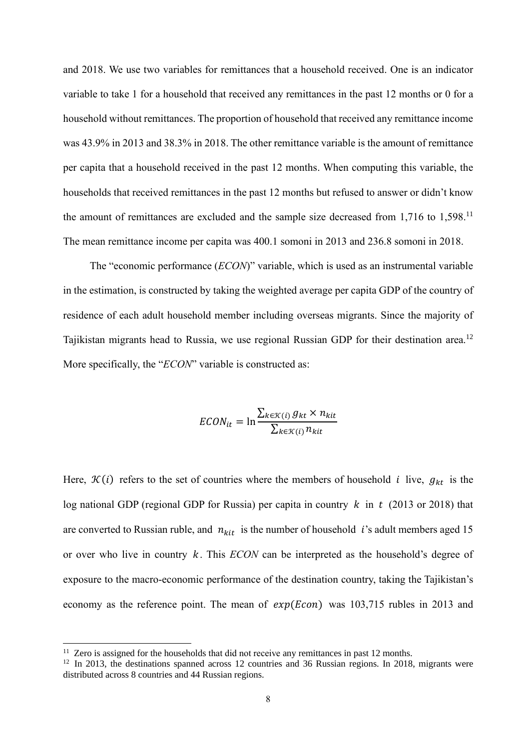and 2018. We use two variables for remittances that a household received. One is an indicator variable to take 1 for a household that received any remittances in the past 12 months or 0 for a household without remittances. The proportion of household that received any remittance income was 43.9% in 2013 and 38.3% in 2018. The other remittance variable is the amount of remittance per capita that a household received in the past 12 months. When computing this variable, the households that received remittances in the past 12 months but refused to answer or didn't know the amount of remittances are excluded and the sample size decreased from  $1,716$  to  $1,598$ .<sup>11</sup> The mean remittance income per capita was 400.1 somoni in 2013 and 236.8 somoni in 2018.

The "economic performance (*ECON*)" variable, which is used as an instrumental variable in the estimation, is constructed by taking the weighted average per capita GDP of the country of residence of each adult household member including overseas migrants. Since the majority of Tajikistan migrants head to Russia, we use regional Russian GDP for their destination area.<sup>12</sup> More specifically, the "*ECON*" variable is constructed as:

$$
ECON_{it} = \ln \frac{\sum_{k \in \mathcal{K}(i)} g_{kt} \times n_{kit}}{\sum_{k \in \mathcal{K}(i)} n_{kit}}
$$

Here,  $\mathcal{K}(i)$  refers to the set of countries where the members of household *i* live,  $g_{kt}$  is the log national GDP (regional GDP for Russia) per capita in country  $k$  in  $t$  (2013 or 2018) that are converted to Russian ruble, and  $n_{kit}$  is the number of household *i*'s adult members aged 15 or over who live in country  $k$ . This *ECON* can be interpreted as the household's degree of exposure to the macro-economic performance of the destination country, taking the Tajikistan's economy as the reference point. The mean of  $exp(Econ)$  was 103,715 rubles in 2013 and

 $11$  Zero is assigned for the households that did not receive any remittances in past 12 months.

<sup>&</sup>lt;sup>12</sup> In 2013, the destinations spanned across 12 countries and 36 Russian regions. In 2018, migrants were distributed across 8 countries and 44 Russian regions.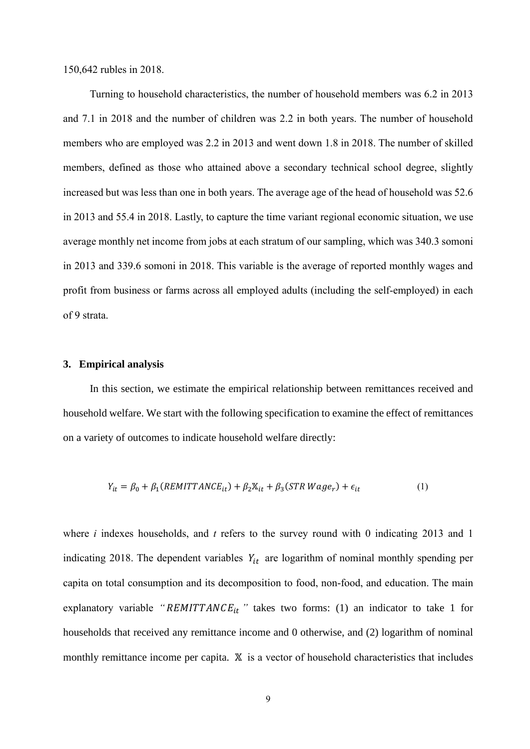150,642 rubles in 2018.

Turning to household characteristics, the number of household members was 6.2 in 2013 and 7.1 in 2018 and the number of children was 2.2 in both years. The number of household members who are employed was 2.2 in 2013 and went down 1.8 in 2018. The number of skilled members, defined as those who attained above a secondary technical school degree, slightly increased but was less than one in both years. The average age of the head of household was 52.6 in 2013 and 55.4 in 2018. Lastly, to capture the time variant regional economic situation, we use average monthly net income from jobs at each stratum of our sampling, which was 340.3 somoni in 2013 and 339.6 somoni in 2018. This variable is the average of reported monthly wages and profit from business or farms across all employed adults (including the self-employed) in each of 9 strata.

#### **3. Empirical analysis**

 In this section, we estimate the empirical relationship between remittances received and household welfare. We start with the following specification to examine the effect of remittances on a variety of outcomes to indicate household welfare directly:

$$
Y_{it} = \beta_0 + \beta_1 (REMITTANCE_{it}) + \beta_2 X_{it} + \beta_3 (STR\ Wage_r) + \epsilon_{it}
$$
 (1)

where *i* indexes households, and *t* refers to the survey round with 0 indicating 2013 and 1 indicating 2018. The dependent variables  $Y_{it}$  are logarithm of nominal monthly spending per capita on total consumption and its decomposition to food, non-food, and education. The main explanatory variable " $REMITTANCE_{it}$ " takes two forms: (1) an indicator to take 1 for households that received any remittance income and 0 otherwise, and (2) logarithm of nominal monthly remittance income per capita.  $X$  is a vector of household characteristics that includes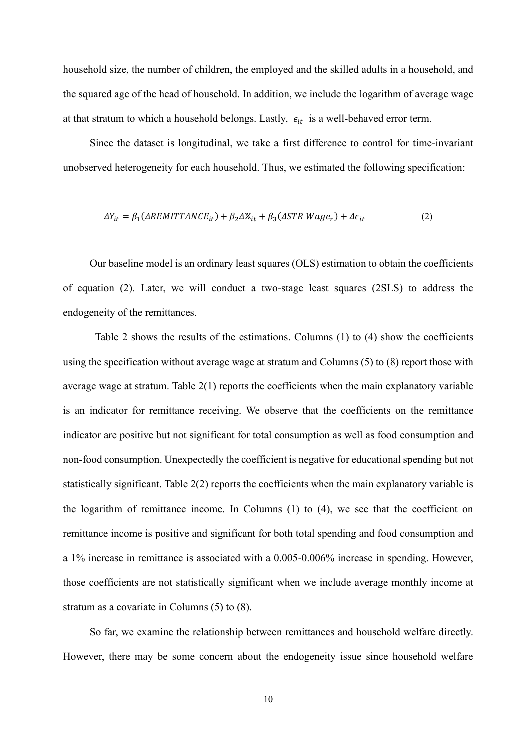household size, the number of children, the employed and the skilled adults in a household, and the squared age of the head of household. In addition, we include the logarithm of average wage at that stratum to which a household belongs. Lastly,  $\epsilon_{it}$  is a well-behaved error term.

 Since the dataset is longitudinal, we take a first difference to control for time-invariant unobserved heterogeneity for each household. Thus, we estimated the following specification:

$$
\Delta Y_{it} = \beta_1 (\Delta REMITTANCE_{it}) + \beta_2 \Delta X_{it} + \beta_3 (\Delta STR \ Wage_r) + \Delta \epsilon_{it}
$$
 (2)

 Our baseline model is an ordinary least squares (OLS) estimation to obtain the coefficients of equation (2). Later, we will conduct a two-stage least squares (2SLS) to address the endogeneity of the remittances.

 Table 2 shows the results of the estimations. Columns (1) to (4) show the coefficients using the specification without average wage at stratum and Columns (5) to (8) report those with average wage at stratum. Table 2(1) reports the coefficients when the main explanatory variable is an indicator for remittance receiving. We observe that the coefficients on the remittance indicator are positive but not significant for total consumption as well as food consumption and non-food consumption. Unexpectedly the coefficient is negative for educational spending but not statistically significant. Table 2(2) reports the coefficients when the main explanatory variable is the logarithm of remittance income. In Columns (1) to (4), we see that the coefficient on remittance income is positive and significant for both total spending and food consumption and a 1% increase in remittance is associated with a 0.005-0.006% increase in spending. However, those coefficients are not statistically significant when we include average monthly income at stratum as a covariate in Columns (5) to (8).

 So far, we examine the relationship between remittances and household welfare directly. However, there may be some concern about the endogeneity issue since household welfare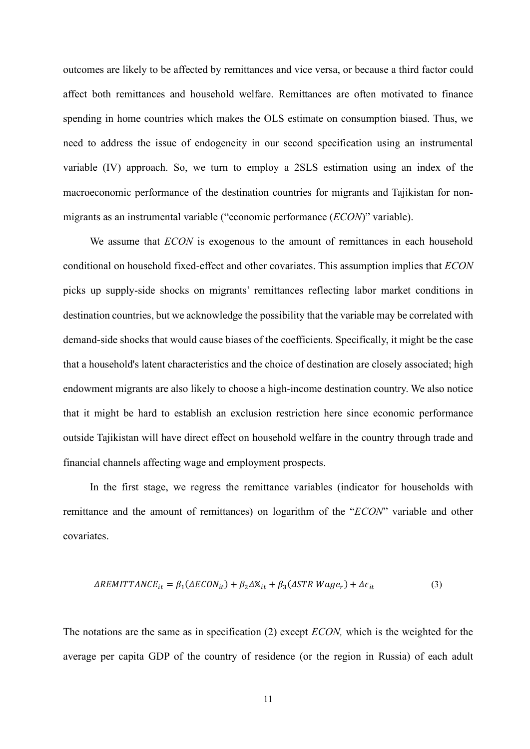outcomes are likely to be affected by remittances and vice versa, or because a third factor could affect both remittances and household welfare. Remittances are often motivated to finance spending in home countries which makes the OLS estimate on consumption biased. Thus, we need to address the issue of endogeneity in our second specification using an instrumental variable (IV) approach. So, we turn to employ a 2SLS estimation using an index of the macroeconomic performance of the destination countries for migrants and Tajikistan for nonmigrants as an instrumental variable ("economic performance (*ECON*)" variable).

We assume that *ECON* is exogenous to the amount of remittances in each household conditional on household fixed-effect and other covariates. This assumption implies that *ECON* picks up supply-side shocks on migrants' remittances reflecting labor market conditions in destination countries, but we acknowledge the possibility that the variable may be correlated with demand-side shocks that would cause biases of the coefficients. Specifically, it might be the case that a household's latent characteristics and the choice of destination are closely associated; high endowment migrants are also likely to choose a high-income destination country. We also notice that it might be hard to establish an exclusion restriction here since economic performance outside Tajikistan will have direct effect on household welfare in the country through trade and financial channels affecting wage and employment prospects.

 In the first stage, we regress the remittance variables (indicator for households with remittance and the amount of remittances) on logarithm of the "*ECON*" variable and other covariates.

$$
\Delta REMITTANCE_{it} = \beta_1(\Delta ECON_{it}) + \beta_2 \Delta X_{it} + \beta_3(\Delta STR\ Wage_r) + \Delta \epsilon_{it}
$$
(3)

The notations are the same as in specification (2) except *ECON,* which is the weighted for the average per capita GDP of the country of residence (or the region in Russia) of each adult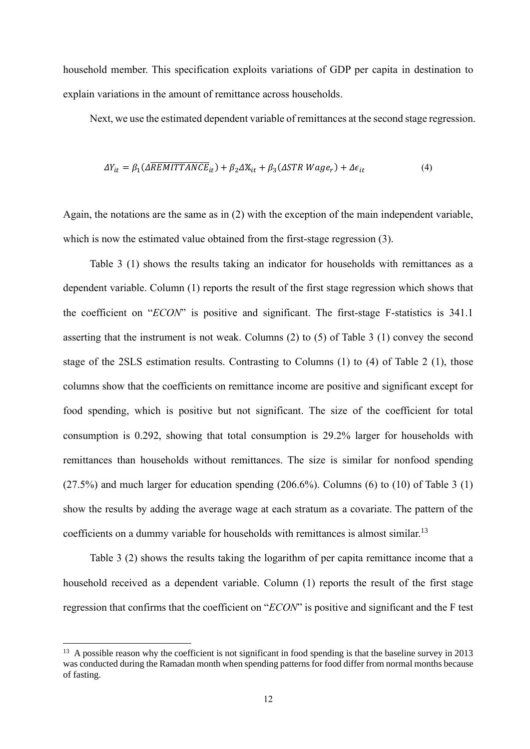household member. This specification exploits variations of GDP per capita in destination to explain variations in the amount of remittance across households.

Next, we use the estimated dependent variable of remittances at the second stage regression.

$$
\Delta Y_{it} = \beta_1 (\Delta \overline{REMITTANCE}_{it}) + \beta_2 \Delta X_{it} + \beta_3 (\Delta STR\, Wage_r) + \Delta \epsilon_{it}
$$
\n(4)

Again, the notations are the same as in (2) with the exception of the main independent variable, which is now the estimated value obtained from the first-stage regression (3).

 Table 3 (1) shows the results taking an indicator for households with remittances as a dependent variable. Column (1) reports the result of the first stage regression which shows that the coefficient on "*ECON*" is positive and significant. The first-stage F-statistics is 341.1 asserting that the instrument is not weak. Columns (2) to (5) of Table 3 (1) convey the second stage of the 2SLS estimation results. Contrasting to Columns (1) to (4) of Table 2 (1), those columns show that the coefficients on remittance income are positive and significant except for food spending, which is positive but not significant. The size of the coefficient for total consumption is 0.292, showing that total consumption is 29.2% larger for households with remittances than households without remittances. The size is similar for nonfood spending  $(27.5%)$  and much larger for education spending  $(206.6%)$ . Columns  $(6)$  to  $(10)$  of Table 3  $(1)$ show the results by adding the average wage at each stratum as a covariate. The pattern of the coefficients on a dummy variable for households with remittances is almost similar.<sup>13</sup>

 Table 3 (2) shows the results taking the logarithm of per capita remittance income that a household received as a dependent variable. Column (1) reports the result of the first stage regression that confirms that the coefficient on "*ECON*" is positive and significant and the F test

<sup>&</sup>lt;sup>13</sup> A possible reason why the coefficient is not significant in food spending is that the baseline survey in 2013 was conducted during the Ramadan month when spending patterns for food differ from normal months because of fasting.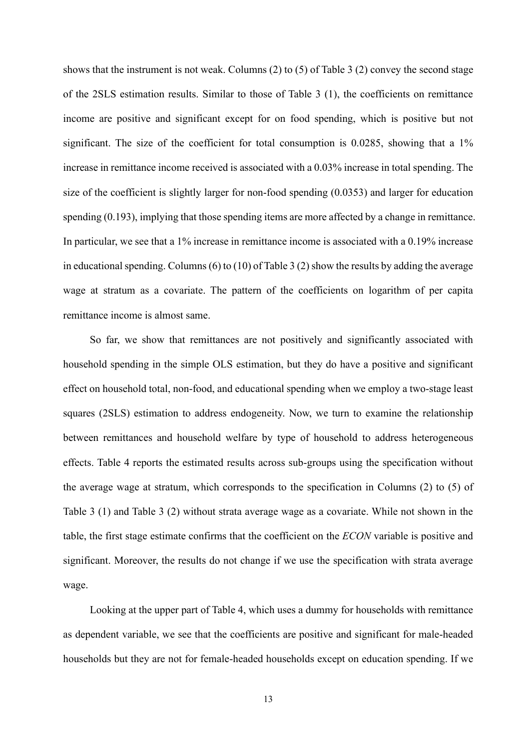shows that the instrument is not weak. Columns (2) to (5) of Table 3 (2) convey the second stage of the 2SLS estimation results. Similar to those of Table 3 (1), the coefficients on remittance income are positive and significant except for on food spending, which is positive but not significant. The size of the coefficient for total consumption is 0.0285, showing that a 1% increase in remittance income received is associated with a 0.03% increase in total spending. The size of the coefficient is slightly larger for non-food spending (0.0353) and larger for education spending (0.193), implying that those spending items are more affected by a change in remittance. In particular, we see that a 1% increase in remittance income is associated with a 0.19% increase in educational spending. Columns (6) to (10) of Table 3 (2) show the results by adding the average wage at stratum as a covariate. The pattern of the coefficients on logarithm of per capita remittance income is almost same.

So far, we show that remittances are not positively and significantly associated with household spending in the simple OLS estimation, but they do have a positive and significant effect on household total, non-food, and educational spending when we employ a two-stage least squares (2SLS) estimation to address endogeneity. Now, we turn to examine the relationship between remittances and household welfare by type of household to address heterogeneous effects. Table 4 reports the estimated results across sub-groups using the specification without the average wage at stratum, which corresponds to the specification in Columns (2) to (5) of Table 3 (1) and Table 3 (2) without strata average wage as a covariate. While not shown in the table, the first stage estimate confirms that the coefficient on the *ECON* variable is positive and significant. Moreover, the results do not change if we use the specification with strata average wage.

Looking at the upper part of Table 4, which uses a dummy for households with remittance as dependent variable, we see that the coefficients are positive and significant for male-headed households but they are not for female-headed households except on education spending. If we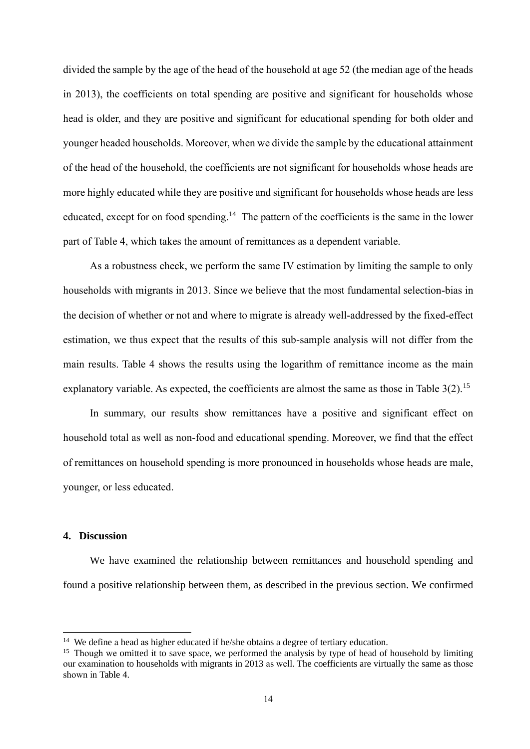divided the sample by the age of the head of the household at age 52 (the median age of the heads in 2013), the coefficients on total spending are positive and significant for households whose head is older, and they are positive and significant for educational spending for both older and younger headed households. Moreover, when we divide the sample by the educational attainment of the head of the household, the coefficients are not significant for households whose heads are more highly educated while they are positive and significant for households whose heads are less educated, except for on food spending.<sup>14</sup> The pattern of the coefficients is the same in the lower part of Table 4, which takes the amount of remittances as a dependent variable.

 As a robustness check, we perform the same IV estimation by limiting the sample to only households with migrants in 2013. Since we believe that the most fundamental selection-bias in the decision of whether or not and where to migrate is already well-addressed by the fixed-effect estimation, we thus expect that the results of this sub-sample analysis will not differ from the main results. Table 4 shows the results using the logarithm of remittance income as the main explanatory variable. As expected, the coefficients are almost the same as those in Table 3(2).<sup>15</sup>

 In summary, our results show remittances have a positive and significant effect on household total as well as non-food and educational spending. Moreover, we find that the effect of remittances on household spending is more pronounced in households whose heads are male, younger, or less educated.

#### **4. Discussion**

 We have examined the relationship between remittances and household spending and found a positive relationship between them, as described in the previous section. We confirmed

<sup>&</sup>lt;sup>14</sup> We define a head as higher educated if he/she obtains a degree of tertiary education.

<sup>&</sup>lt;sup>15</sup> Though we omitted it to save space, we performed the analysis by type of head of household by limiting our examination to households with migrants in 2013 as well. The coefficients are virtually the same as those shown in Table 4.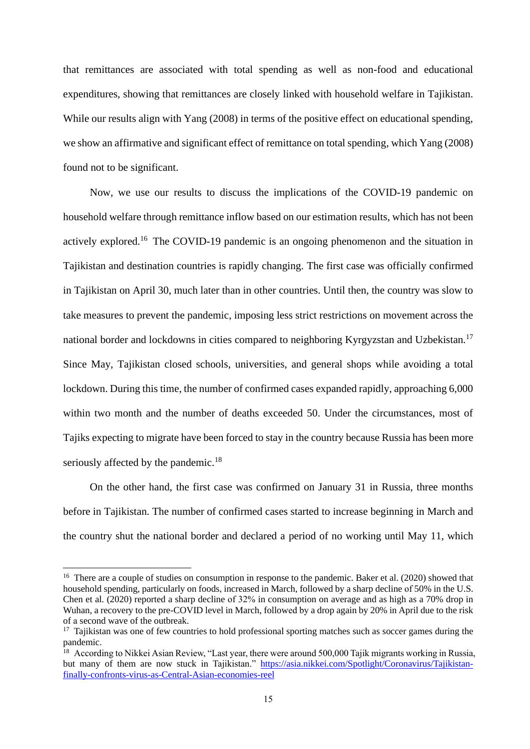that remittances are associated with total spending as well as non-food and educational expenditures, showing that remittances are closely linked with household welfare in Tajikistan. While our results align with Yang (2008) in terms of the positive effect on educational spending, we show an affirmative and significant effect of remittance on total spending, which Yang (2008) found not to be significant.

 Now, we use our results to discuss the implications of the COVID-19 pandemic on household welfare through remittance inflow based on our estimation results, which has not been actively explored.<sup>16</sup> The COVID-19 pandemic is an ongoing phenomenon and the situation in Tajikistan and destination countries is rapidly changing. The first case was officially confirmed in Tajikistan on April 30, much later than in other countries. Until then, the country was slow to take measures to prevent the pandemic, imposing less strict restrictions on movement across the national border and lockdowns in cities compared to neighboring Kyrgyzstan and Uzbekistan.<sup>17</sup> Since May, Tajikistan closed schools, universities, and general shops while avoiding a total lockdown. During this time, the number of confirmed cases expanded rapidly, approaching 6,000 within two month and the number of deaths exceeded 50. Under the circumstances, most of Tajiks expecting to migrate have been forced to stay in the country because Russia has been more seriously affected by the pandemic.<sup>18</sup>

On the other hand, the first case was confirmed on January 31 in Russia, three months before in Tajikistan. The number of confirmed cases started to increase beginning in March and the country shut the national border and declared a period of no working until May 11, which

<sup>&</sup>lt;sup>16</sup> There are a couple of studies on consumption in response to the pandemic. Baker et al. (2020) showed that household spending, particularly on foods, increased in March, followed by a sharp decline of 50% in the U.S. Chen et al. (2020) reported a sharp decline of 32% in consumption on average and as high as a 70% drop in Wuhan, a recovery to the pre-COVID level in March, followed by a drop again by 20% in April due to the risk of a second wave of the outbreak.

<sup>&</sup>lt;sup>17</sup> Tajikistan was one of few countries to hold professional sporting matches such as soccer games during the pandemic.

<sup>&</sup>lt;sup>18</sup> According to Nikkei Asian Review, "Last year, there were around 500,000 Tajik migrants working in Russia, but many of them are now stuck in Tajikistan." [https://asia.nikkei.com/Spotlight/Coronavirus/Tajikistan](https://asia.nikkei.com/Spotlight/Coronavirus/Tajikistan-finally-confronts-virus-as-Central-Asian-economies-reel)[finally-confronts-virus-as-Central-Asian-economies-reel](https://asia.nikkei.com/Spotlight/Coronavirus/Tajikistan-finally-confronts-virus-as-Central-Asian-economies-reel)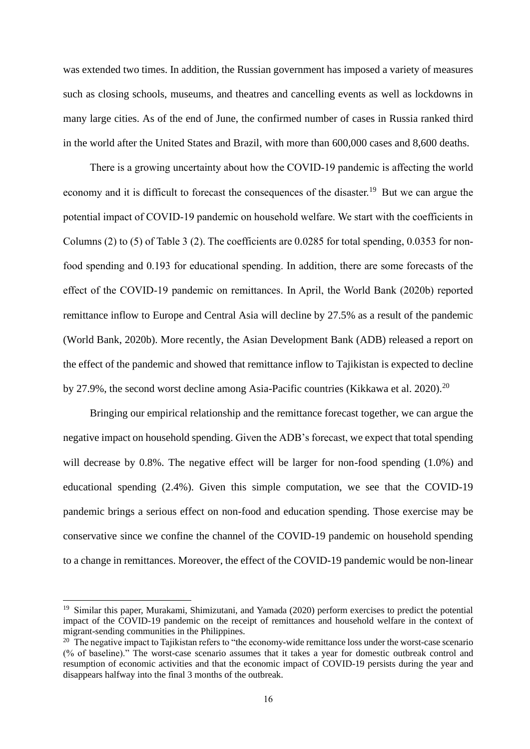was extended two times. In addition, the Russian government has imposed a variety of measures such as closing schools, museums, and theatres and cancelling events as well as lockdowns in many large cities. As of the end of June, the confirmed number of cases in Russia ranked third in the world after the United States and Brazil, with more than 600,000 cases and 8,600 deaths.

 There is a growing uncertainty about how the COVID-19 pandemic is affecting the world economy and it is difficult to forecast the consequences of the disaster.<sup>19</sup> But we can argue the potential impact of COVID-19 pandemic on household welfare. We start with the coefficients in Columns (2) to (5) of Table 3 (2). The coefficients are 0.0285 for total spending, 0.0353 for nonfood spending and 0.193 for educational spending. In addition, there are some forecasts of the effect of the COVID-19 pandemic on remittances. In April, the World Bank (2020b) reported remittance inflow to Europe and Central Asia will decline by 27.5% as a result of the pandemic (World Bank, 2020b). More recently, the Asian Development Bank (ADB) released a report on the effect of the pandemic and showed that remittance inflow to Tajikistan is expected to decline by 27.9%, the second worst decline among Asia-Pacific countries (Kikkawa et al. 2020).<sup>20</sup>

Bringing our empirical relationship and the remittance forecast together, we can argue the negative impact on household spending. Given the ADB's forecast, we expect that total spending will decrease by 0.8%. The negative effect will be larger for non-food spending  $(1.0\%)$  and educational spending (2.4%). Given this simple computation, we see that the COVID-19 pandemic brings a serious effect on non-food and education spending. Those exercise may be conservative since we confine the channel of the COVID-19 pandemic on household spending to a change in remittances. Moreover, the effect of the COVID-19 pandemic would be non-linear

<sup>&</sup>lt;sup>19</sup> Similar this paper, Murakami, Shimizutani, and Yamada (2020) perform exercises to predict the potential impact of the COVID-19 pandemic on the receipt of remittances and household welfare in the context of migrant-sending communities in the Philippines.

<sup>&</sup>lt;sup>20</sup> The negative impact to Tajikistan refers to "the economy-wide remittance loss under the worst-case scenario (% of baseline)." The worst-case scenario assumes that it takes a year for domestic outbreak control and resumption of economic activities and that the economic impact of COVID-19 persists during the year and disappears halfway into the final 3 months of the outbreak.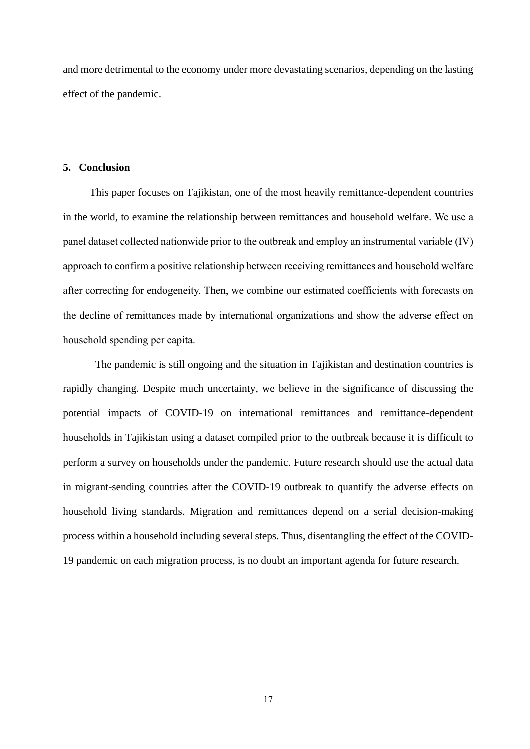and more detrimental to the economy under more devastating scenarios, depending on the lasting effect of the pandemic.

#### **5. Conclusion**

 This paper focuses on Tajikistan, one of the most heavily remittance-dependent countries in the world, to examine the relationship between remittances and household welfare. We use a panel dataset collected nationwide prior to the outbreak and employ an instrumental variable (IV) approach to confirm a positive relationship between receiving remittances and household welfare after correcting for endogeneity. Then, we combine our estimated coefficients with forecasts on the decline of remittances made by international organizations and show the adverse effect on household spending per capita.

 The pandemic is still ongoing and the situation in Tajikistan and destination countries is rapidly changing. Despite much uncertainty, we believe in the significance of discussing the potential impacts of COVID-19 on international remittances and remittance-dependent households in Tajikistan using a dataset compiled prior to the outbreak because it is difficult to perform a survey on households under the pandemic. Future research should use the actual data in migrant-sending countries after the COVID-19 outbreak to quantify the adverse effects on household living standards. Migration and remittances depend on a serial decision-making process within a household including several steps. Thus, disentangling the effect of the COVID-19 pandemic on each migration process, is no doubt an important agenda for future research.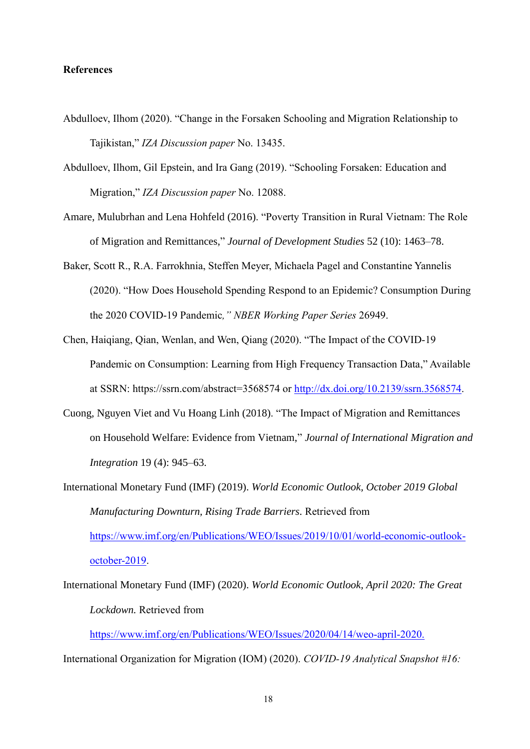#### **References**

- Abdulloev, Ilhom (2020). "Change in the Forsaken Schooling and Migration Relationship to Tajikistan," *IZA Discussion paper* No. 13435.
- Abdulloev, Ilhom, Gil Epstein, and Ira Gang (2019). "Schooling Forsaken: Education and Migration," *IZA Discussion paper* No. 12088.
- Amare, Mulubrhan and Lena Hohfeld (2016). "Poverty Transition in Rural Vietnam: The Role of Migration and Remittances," *Journal of Development Studies* 52 (10): 1463–78.
- Baker, Scott R., R.A. Farrokhnia, Steffen Meyer, Michaela Pagel and Constantine Yannelis (2020). "How Does Household Spending Respond to an Epidemic? Consumption During the 2020 COVID-19 Pandemic*," NBER Working Paper Series* 26949.
- Chen, Haiqiang, Qian, Wenlan, and Wen, Qiang (2020). "The Impact of the COVID-19 Pandemic on Consumption: Learning from High Frequency Transaction Data," Available at SSRN: https://ssrn.com/abstract=3568574 or [http://dx.doi.org/10.2139/ssrn.3568574.](http://dx.doi.org/10.2139/ssrn.3568574)
- Cuong, Nguyen Viet and Vu Hoang Linh (2018). "The Impact of Migration and Remittances on Household Welfare: Evidence from Vietnam," *Journal of International Migration and Integration* 19 (4): 945–63.
- International Monetary Fund (IMF) (2019). *World Economic Outlook, October 2019 Global Manufacturing Downturn, Rising Trade Barriers.* Retrieved from [https://www.imf.org/en/Publications/WEO/Issues/2019/10/01/world-economic-outlook](https://www.imf.org/en/Publications/WEO/Issues/2019/10/01/world-economic-outlook-october-2019)[october-2019.](https://www.imf.org/en/Publications/WEO/Issues/2019/10/01/world-economic-outlook-october-2019)
- International Monetary Fund (IMF) (2020). *World Economic Outlook, April 2020: The Great Lockdown.* Retrieved from

[https://www.imf.org/en/Publications/WEO/Issues/2020/04/14/weo-april-2020.](https://www.imf.org/en/Publications/WEO/Issues/2020/04/14/weo-april-2020)

International Organization for Migration (IOM) (2020). *COVID-19 Analytical Snapshot #16:*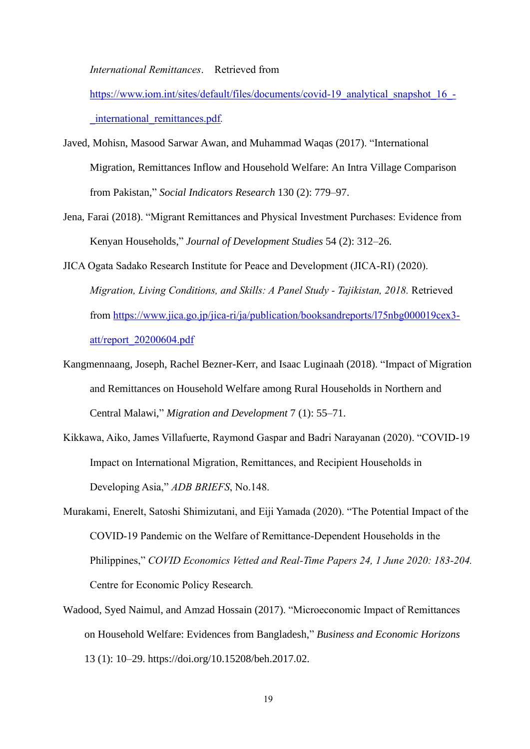*International Remittances*. Retrieved from

[https://www.iom.int/sites/default/files/documents/covid-19\\_analytical\\_snapshot\\_16\\_-](https://www.iom.int/sites/default/files/documents/covid-19_analytical_snapshot_16_-_international_remittances.pdf) [\\_international\\_remittances.pdf](https://www.iom.int/sites/default/files/documents/covid-19_analytical_snapshot_16_-_international_remittances.pdf)*.* 

- Javed, Mohisn, Masood Sarwar Awan, and Muhammad Waqas (2017). "International Migration, Remittances Inflow and Household Welfare: An Intra Village Comparison from Pakistan," *Social Indicators Research* 130 (2): 779–97.
- Jena, Farai (2018). "Migrant Remittances and Physical Investment Purchases: Evidence from Kenyan Households," *Journal of Development Studies* 54 (2): 312–26.
- JICA Ogata Sadako Research Institute for Peace and Development (JICA-RI) (2020). *Migration, Living Conditions, and Skills: A Panel Study - Tajikistan, 2018.* Retrieved from [https://www.jica.go.jp/jica-ri/ja/publication/booksandreports/l75nbg000019cex3](https://www.jica.go.jp/jica-ri/ja/publication/booksandreports/l75nbg000019cex3-att/report_20200604.pdf) [att/report\\_20200604.pdf](https://www.jica.go.jp/jica-ri/ja/publication/booksandreports/l75nbg000019cex3-att/report_20200604.pdf)
- Kangmennaang, Joseph, Rachel Bezner-Kerr, and Isaac Luginaah (2018). "Impact of Migration and Remittances on Household Welfare among Rural Households in Northern and Central Malawi," *Migration and Development* 7 (1): 55–71.
- Kikkawa, Aiko, James Villafuerte, Raymond Gaspar and Badri Narayanan (2020). "COVID-19 Impact on International Migration, Remittances, and Recipient Households in Developing Asia," *ADB BRIEFS*, No.148.
- Murakami, Enerelt, Satoshi Shimizutani, and Eiji Yamada (2020). "The Potential Impact of the COVID-19 Pandemic on the Welfare of Remittance-Dependent Households in the Philippines," *COVID Economics Vetted and Real-Time Papers 24, 1 June 2020: 183-204.* Centre for Economic Policy Research*.*
- Wadood, Syed Naimul, and Amzad Hossain (2017). "Microeconomic Impact of Remittances on Household Welfare: Evidences from Bangladesh," *Business and Economic Horizons* 13 (1): 10–29. https://doi.org/10.15208/beh.2017.02.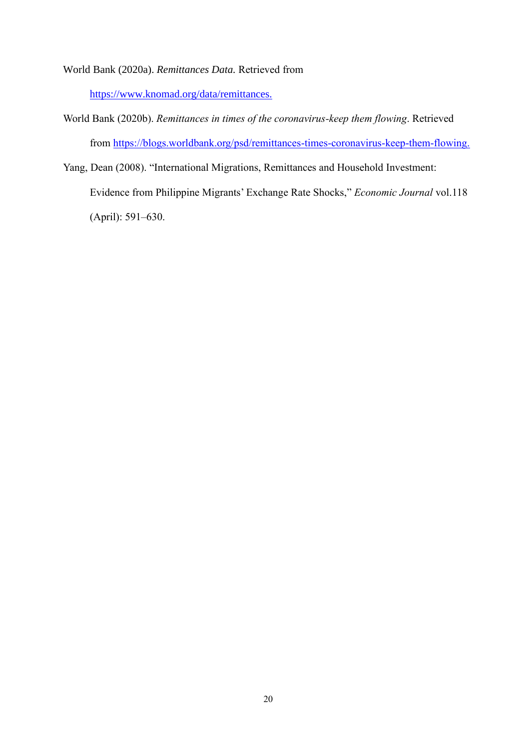World Bank (2020a). *Remittances Data.* Retrieved from

[https://www.knomad.org/data/remittances.](https://www.knomad.org/data/remittances)

- World Bank (2020b). *Remittances in times of the coronavirus-keep them flowing*. Retrieved from [https://blogs.worldbank.org/psd/remittances-times-coronavirus-keep-them-flowing.](https://blogs.worldbank.org/psd/remittances-times-coronavirus-keep-them-flowing)
- Yang, Dean (2008). "International Migrations, Remittances and Household Investment: Evidence from Philippine Migrants' Exchange Rate Shocks," *Economic Journal* vol.118 (April): 591–630.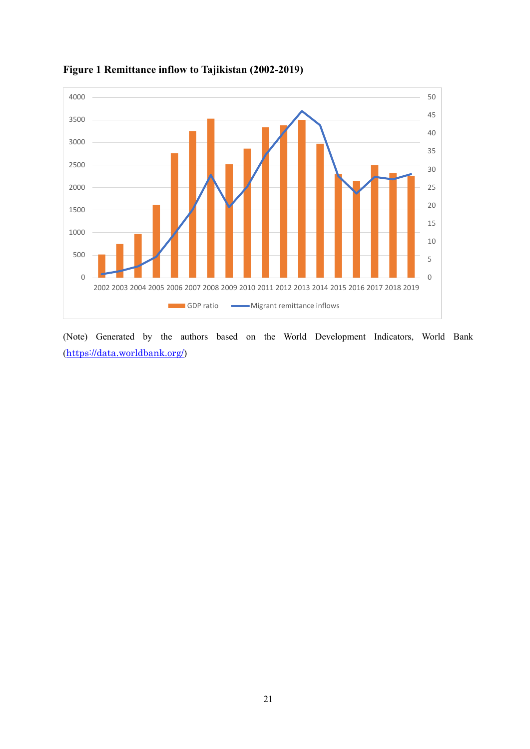

### **Figure 1 Remittance inflow to Tajikistan (2002-2019)**

(Note) Generated by the authors based on the World Development Indicators, World Bank (<https://data.worldbank.org/>)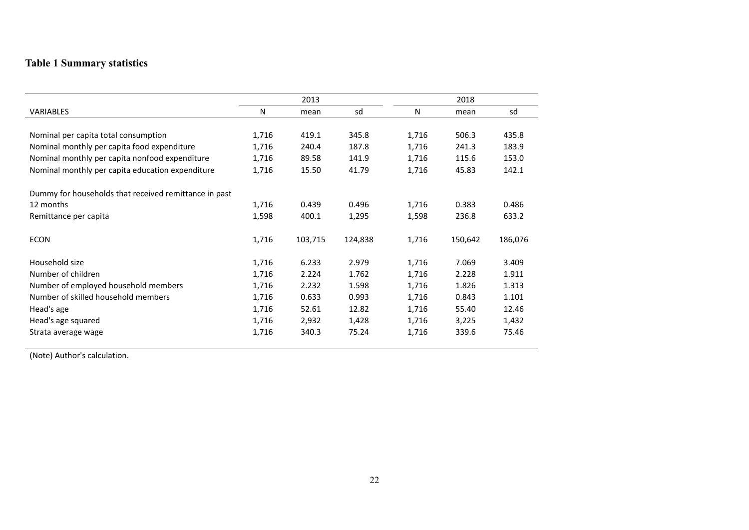## **Table 1 Summary statistics**

|                                                       |       | 2013    |         |       | 2018    |         |
|-------------------------------------------------------|-------|---------|---------|-------|---------|---------|
| <b>VARIABLES</b>                                      | N     | mean    | sd      | N     | mean    | sd      |
|                                                       |       |         |         |       |         |         |
| Nominal per capita total consumption                  | 1,716 | 419.1   | 345.8   | 1,716 | 506.3   | 435.8   |
| Nominal monthly per capita food expenditure           | 1,716 | 240.4   | 187.8   | 1,716 | 241.3   | 183.9   |
| Nominal monthly per capita nonfood expenditure        | 1,716 | 89.58   | 141.9   | 1,716 | 115.6   | 153.0   |
| Nominal monthly per capita education expenditure      | 1,716 | 15.50   | 41.79   | 1,716 | 45.83   | 142.1   |
| Dummy for households that received remittance in past |       |         |         |       |         |         |
| 12 months                                             | 1,716 | 0.439   | 0.496   | 1,716 | 0.383   | 0.486   |
| Remittance per capita                                 | 1,598 | 400.1   | 1,295   | 1,598 | 236.8   | 633.2   |
| <b>ECON</b>                                           | 1,716 | 103,715 | 124,838 | 1,716 | 150,642 | 186,076 |
| Household size                                        | 1,716 | 6.233   | 2.979   | 1,716 | 7.069   | 3.409   |
| Number of children                                    | 1,716 | 2.224   | 1.762   | 1,716 | 2.228   | 1.911   |
| Number of employed household members                  | 1,716 | 2.232   | 1.598   | 1,716 | 1.826   | 1.313   |
| Number of skilled household members                   | 1,716 | 0.633   | 0.993   | 1,716 | 0.843   | 1.101   |
| Head's age                                            | 1,716 | 52.61   | 12.82   | 1,716 | 55.40   | 12.46   |
| Head's age squared                                    | 1,716 | 2,932   | 1,428   | 1,716 | 3,225   | 1,432   |
| Strata average wage                                   | 1,716 | 340.3   | 75.24   | 1,716 | 339.6   | 75.46   |

(Note) Author's calculation.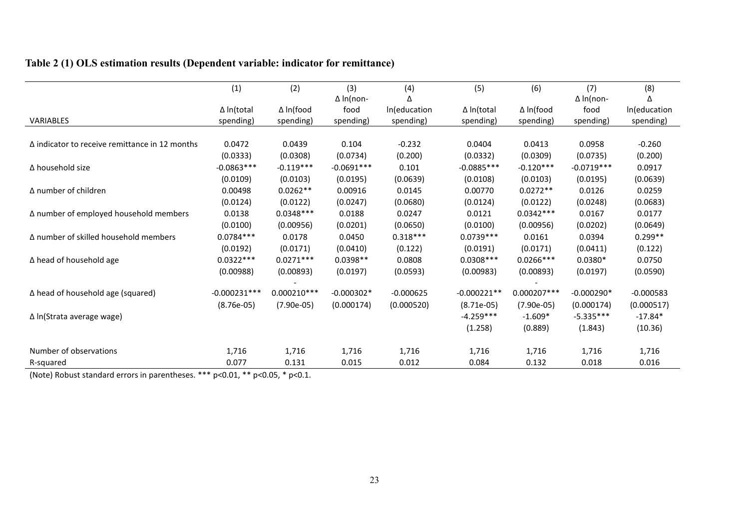## **Table 2 (1) OLS estimation results (Dependent variable: indicator for remittance)**

|                                                       | (1)               | (2)           | (3)              | (4)          | (5)               | (6)          | (7)              | (8)          |
|-------------------------------------------------------|-------------------|---------------|------------------|--------------|-------------------|--------------|------------------|--------------|
|                                                       |                   |               | $\Delta$ In(non- | Δ            |                   |              | $\Delta$ In(non- | Λ            |
|                                                       | $\Delta$ In(total | ∆ In(food     | food             | In(education | $\Delta$ In(total | ∆ In(food    | food             | In(education |
| <b>VARIABLES</b>                                      | spending)         | spending)     | spending)        | spending)    | spending)         | spending)    | spending)        | spending)    |
|                                                       |                   |               |                  |              |                   |              |                  |              |
| $\Delta$ indicator to receive remittance in 12 months | 0.0472            | 0.0439        | 0.104            | $-0.232$     | 0.0404            | 0.0413       | 0.0958           | $-0.260$     |
|                                                       | (0.0333)          | (0.0308)      | (0.0734)         | (0.200)      | (0.0332)          | (0.0309)     | (0.0735)         | (0.200)      |
| ∆ household size                                      | $-0.0863***$      | $-0.119***$   | $-0.0691***$     | 0.101        | $-0.0885***$      | $-0.120***$  | $-0.0719***$     | 0.0917       |
|                                                       | (0.0109)          | (0.0103)      | (0.0195)         | (0.0639)     | (0.0108)          | (0.0103)     | (0.0195)         | (0.0639)     |
| $\Delta$ number of children                           | 0.00498           | $0.0262**$    | 0.00916          | 0.0145       | 0.00770           | $0.0272**$   | 0.0126           | 0.0259       |
|                                                       | (0.0124)          | (0.0122)      | (0.0247)         | (0.0680)     | (0.0124)          | (0.0122)     | (0.0248)         | (0.0683)     |
| ∆ number of employed household members                | 0.0138            | $0.0348***$   | 0.0188           | 0.0247       | 0.0121            | $0.0342***$  | 0.0167           | 0.0177       |
|                                                       | (0.0100)          | (0.00956)     | (0.0201)         | (0.0650)     | (0.0100)          | (0.00956)    | (0.0202)         | (0.0649)     |
| ∆ number of skilled household members                 | $0.0784***$       | 0.0178        | 0.0450           | $0.318***$   | $0.0739***$       | 0.0161       | 0.0394           | $0.299**$    |
|                                                       | (0.0192)          | (0.0171)      | (0.0410)         | (0.122)      | (0.0191)          | (0.0171)     | (0.0411)         | (0.122)      |
| ∆ head of household age                               | $0.0322***$       | $0.0271***$   | $0.0398**$       | 0.0808       | $0.0308***$       | $0.0266***$  | $0.0380*$        | 0.0750       |
|                                                       | (0.00988)         | (0.00893)     | (0.0197)         | (0.0593)     | (0.00983)         | (0.00893)    | (0.0197)         | (0.0590)     |
| ∆ head of household age (squared)                     | $-0.000231***$    | $0.000210***$ | $-0.000302*$     | $-0.000625$  | $-0.000221**$     | 0.000207 *** | $-0.000290*$     | $-0.000583$  |
|                                                       |                   |               |                  |              |                   |              |                  |              |
|                                                       | $(8.76e-05)$      | $(7.90e-05)$  | (0.000174)       | (0.000520)   | $(8.71e-05)$      | $(7.90e-05)$ | (0.000174)       | (0.000517)   |
| $\Delta$ In(Strata average wage)                      |                   |               |                  |              | $-4.259***$       | $-1.609*$    | $-5.335***$      | $-17.84*$    |
|                                                       |                   |               |                  |              | (1.258)           | (0.889)      | (1.843)          | (10.36)      |
| Number of observations                                | 1,716             | 1,716         | 1,716            | 1,716        | 1,716             | 1,716        | 1,716            | 1,716        |
| R-squared                                             | 0.077             | 0.131         | 0.015            | 0.012        | 0.084             | 0.132        | 0.018            | 0.016        |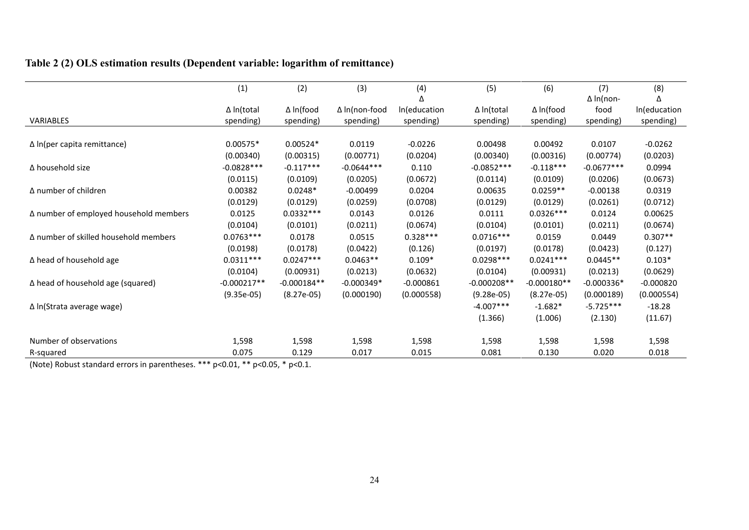## **Table 2 (2) OLS estimation results (Dependent variable: logarithm of remittance)**

|                                        | (1)               | (2)              | (3)                  | (4)          | (5)               | (6)              | (7)              | (8)          |
|----------------------------------------|-------------------|------------------|----------------------|--------------|-------------------|------------------|------------------|--------------|
|                                        |                   |                  |                      |              |                   |                  | $\Delta$ In(non- |              |
|                                        | $\Delta$ In(total | $\Delta$ In(food | $\Delta$ In(non-food | In(education | $\Delta$ In(total | $\Delta$ In(food | food             | In(education |
| VARIABLES                              | spending)         | spending)        | spending)            | spending)    | spending)         | spending)        | spending)        | spending)    |
|                                        |                   |                  |                      |              |                   |                  |                  |              |
| $\Delta$ In(per capita remittance)     | $0.00575*$        | $0.00524*$       | 0.0119               | $-0.0226$    | 0.00498           | 0.00492          | 0.0107           | $-0.0262$    |
|                                        | (0.00340)         | (0.00315)        | (0.00771)            | (0.0204)     | (0.00340)         | (0.00316)        | (0.00774)        | (0.0203)     |
| ∆ household size                       | $-0.0828***$      | $-0.117***$      | $-0.0644***$         | 0.110        | $-0.0852***$      | $-0.118***$      | $-0.0677***$     | 0.0994       |
|                                        | (0.0115)          | (0.0109)         | (0.0205)             | (0.0672)     | (0.0114)          | (0.0109)         | (0.0206)         | (0.0673)     |
| Δ number of children                   | 0.00382           | $0.0248*$        | $-0.00499$           | 0.0204       | 0.00635           | $0.0259**$       | $-0.00138$       | 0.0319       |
|                                        | (0.0129)          | (0.0129)         | (0.0259)             | (0.0708)     | (0.0129)          | (0.0129)         | (0.0261)         | (0.0712)     |
| ∆ number of employed household members | 0.0125            | $0.0332***$      | 0.0143               | 0.0126       | 0.0111            | $0.0326***$      | 0.0124           | 0.00625      |
|                                        | (0.0104)          | (0.0101)         | (0.0211)             | (0.0674)     | (0.0104)          | (0.0101)         | (0.0211)         | (0.0674)     |
| Δ number of skilled household members  | $0.0763***$       | 0.0178           | 0.0515               | $0.328***$   | $0.0716***$       | 0.0159           | 0.0449           | $0.307**$    |
|                                        | (0.0198)          | (0.0178)         | (0.0422)             | (0.126)      | (0.0197)          | (0.0178)         | (0.0423)         | (0.127)      |
| $\Delta$ head of household age         | $0.0311***$       | $0.0247***$      | $0.0463**$           | $0.109*$     | $0.0298***$       | $0.0241***$      | $0.0445**$       | $0.103*$     |
|                                        | (0.0104)          | (0.00931)        | (0.0213)             | (0.0632)     | (0.0104)          | (0.00931)        | (0.0213)         | (0.0629)     |
| ∆ head of household age (squared)      | $-0.000217**$     | $-0.000184**$    | $-0.000349*$         | $-0.000861$  | $-0.000208**$     | $-0.000180**$    | $-0.000336*$     | $-0.000820$  |
|                                        | $(9.35e-05)$      | $(8.27e-05)$     | (0.000190)           | (0.000558)   | $(9.28e-05)$      | $(8.27e-05)$     | (0.000189)       | (0.000554)   |
| ∆ In(Strata average wage)              |                   |                  |                      |              | $-4.007***$       | $-1.682*$        | $-5.725***$      | $-18.28$     |
|                                        |                   |                  |                      |              | (1.366)           | (1.006)          | (2.130)          | (11.67)      |
| Number of observations                 | 1,598             | 1,598            | 1,598                | 1,598        | 1,598             | 1,598            | 1,598            | 1,598        |
| R-squared                              | 0.075             | 0.129            | 0.017                | 0.015        | 0.081             | 0.130            | 0.020            | 0.018        |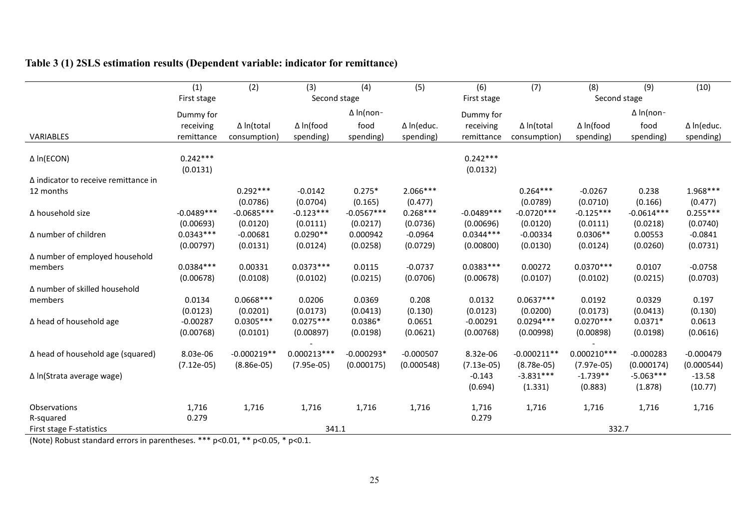| Table 3 (1) 2SLS estimation results (Dependent variable: indicator for remittance) |  |  |  |  |  |  |  |  |
|------------------------------------------------------------------------------------|--|--|--|--|--|--|--|--|
|------------------------------------------------------------------------------------|--|--|--|--|--|--|--|--|

|                                                                                                                                                           | (1)<br>First stage | (2)                                   | (3)<br>Second stage | (4)              | (5)         | (6)<br>First stage | (7)               | (8)<br>Second stage | (9)              | (10)        |
|-----------------------------------------------------------------------------------------------------------------------------------------------------------|--------------------|---------------------------------------|---------------------|------------------|-------------|--------------------|-------------------|---------------------|------------------|-------------|
|                                                                                                                                                           |                    |                                       |                     |                  |             |                    |                   |                     |                  |             |
|                                                                                                                                                           | Dummy for          |                                       |                     | $\Delta$ In(non- |             | Dummy for          |                   |                     | $\Delta$ In(non- |             |
|                                                                                                                                                           | receiving          | $\Delta$ In(total                     | ∆ In(food           | food             | ∆ In(educ.  | receiving          | $\Delta$ In(total | ∆ In(food           | food             | ∆ In(educ.  |
| VARIABLES                                                                                                                                                 | remittance         | consumption)                          | spending)           | spending)        | spending)   | remittance         | consumption)      | spending)           | spending)        | spending)   |
|                                                                                                                                                           |                    |                                       |                     |                  |             |                    |                   |                     |                  |             |
| $\Delta$ In(ECON)                                                                                                                                         | $0.242***$         |                                       |                     |                  |             | $0.242***$         |                   |                     |                  |             |
|                                                                                                                                                           | (0.0131)           |                                       |                     |                  |             | (0.0132)           |                   |                     |                  |             |
| $\Delta$ indicator to receive remittance in                                                                                                               |                    |                                       |                     |                  |             |                    |                   |                     |                  |             |
| 12 months                                                                                                                                                 |                    | $0.292***$                            | $-0.0142$           | $0.275*$         | $2.066***$  |                    | $0.264***$        | $-0.0267$           | 0.238            | $1.968***$  |
|                                                                                                                                                           |                    | (0.0786)                              | (0.0704)            | (0.165)          | (0.477)     |                    | (0.0789)          | (0.0710)            | (0.166)          | (0.477)     |
| ∆ household size                                                                                                                                          | $-0.0489***$       | $-0.0685***$                          | $-0.123***$         | $-0.0567***$     | $0.268***$  | $-0.0489***$       | $-0.0720***$      | $-0.125***$         | $-0.0614***$     | $0.255***$  |
|                                                                                                                                                           | (0.00693)          | (0.0120)                              | (0.0111)            | (0.0217)         | (0.0736)    | (0.00696)          | (0.0120)          | (0.0111)            | (0.0218)         | (0.0740)    |
| ∆ number of children                                                                                                                                      | $0.0343***$        | $-0.00681$                            | $0.0290**$          | 0.000942         | $-0.0964$   | $0.0344***$        | $-0.00334$        | $0.0306**$          | 0.00553          | $-0.0841$   |
|                                                                                                                                                           | (0.00797)          | (0.0131)                              | (0.0124)            | (0.0258)         | (0.0729)    | (0.00800)          | (0.0130)          | (0.0124)            | (0.0260)         | (0.0731)    |
| ∆ number of employed household                                                                                                                            |                    |                                       |                     |                  |             |                    |                   |                     |                  |             |
| members                                                                                                                                                   | $0.0384***$        | 0.00331                               | $0.0373***$         | 0.0115           | $-0.0737$   | $0.0383***$        | 0.00272           | $0.0370***$         | 0.0107           | $-0.0758$   |
|                                                                                                                                                           | (0.00678)          | (0.0108)                              | (0.0102)            | (0.0215)         | (0.0706)    | (0.00678)          | (0.0107)          | (0.0102)            | (0.0215)         | (0.0703)    |
| ∆ number of skilled household                                                                                                                             |                    |                                       |                     |                  |             |                    |                   |                     |                  |             |
| members                                                                                                                                                   | 0.0134             | $0.0668***$                           | 0.0206              | 0.0369           | 0.208       | 0.0132             | $0.0637***$       | 0.0192              | 0.0329           | 0.197       |
|                                                                                                                                                           | (0.0123)           | (0.0201)                              | (0.0173)            | (0.0413)         | (0.130)     | (0.0123)           | (0.0200)          | (0.0173)            | (0.0413)         | (0.130)     |
| ∆ head of household age                                                                                                                                   | $-0.00287$         | $0.0305***$                           | $0.0275***$         | $0.0386*$        | 0.0651      | $-0.00291$         | $0.0294***$       | $0.0270***$         | $0.0371*$        | 0.0613      |
|                                                                                                                                                           | (0.00768)          | (0.0101)                              | (0.00897)           | (0.0198)         | (0.0621)    | (0.00768)          | (0.00998)         | (0.00898)           | (0.0198)         | (0.0616)    |
|                                                                                                                                                           |                    |                                       |                     |                  |             |                    |                   |                     |                  |             |
| ∆ head of household age (squared)                                                                                                                         | 8.03e-06           | $-0.000219**$                         | $0.000213***$       | $-0.000293*$     | $-0.000507$ | 8.32e-06           | $-0.000211**$     | $0.000210***$       | $-0.000283$      | $-0.000479$ |
|                                                                                                                                                           | $(7.12e-05)$       | $(8.86e-05)$                          | $(7.95e-05)$        | (0.000175)       | (0.000548)  | $(7.13e-05)$       | $(8.78e-05)$      | $(7.97e-05)$        | (0.000174)       | (0.000544)  |
| $\Delta$ In(Strata average wage)                                                                                                                          |                    |                                       |                     |                  |             | $-0.143$           | $-3.831***$       | $-1.739**$          | $-5.063***$      | $-13.58$    |
|                                                                                                                                                           |                    |                                       |                     |                  |             | (0.694)            | (1.331)           | (0.883)             | (1.878)          | (10.77)     |
|                                                                                                                                                           |                    |                                       |                     |                  |             |                    |                   |                     |                  |             |
| Observations                                                                                                                                              | 1,716              | 1,716                                 | 1,716               | 1,716            | 1,716       | 1,716              | 1,716             | 1,716               | 1,716            | 1,716       |
| R-squared                                                                                                                                                 | 0.279              |                                       |                     |                  |             | 0.279              |                   |                     |                  |             |
| First stage F-statistics<br>$\{M_{\text{max}}\}$ $\{N_{\text{max}}\}$ $\{N_{\text{max}}\}$ $\{N_{\text{max}}\}$ $\{N_{\text{max}}\}$ $\{N_{\text{max}}\}$ |                    | $-224$ $+34$ $+0.01$ $+3.000$ $+7.00$ | 341.1               |                  |             |                    |                   | 332.7               |                  |             |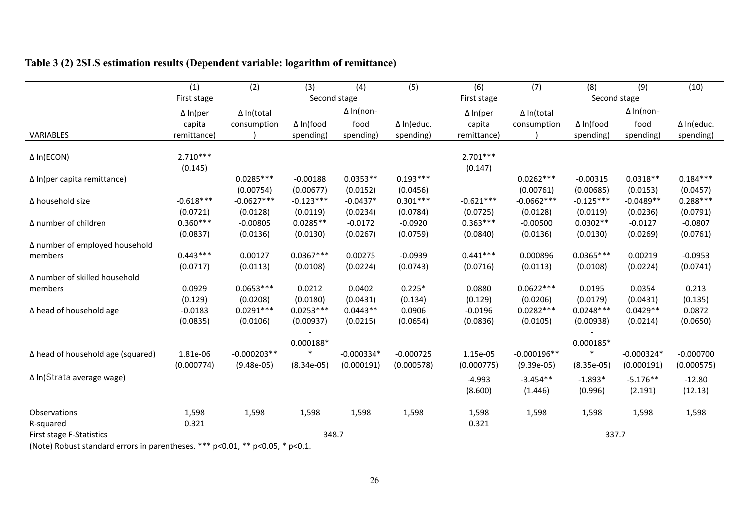| Table 3 (2) 2SLS estimation results (Dependent variable: logarithm of remittance) |  |  |
|-----------------------------------------------------------------------------------|--|--|
|                                                                                   |  |  |

| ∆ In(educ.                                                                                                                                                                                                                      |
|---------------------------------------------------------------------------------------------------------------------------------------------------------------------------------------------------------------------------------|
| spending)                                                                                                                                                                                                                       |
|                                                                                                                                                                                                                                 |
|                                                                                                                                                                                                                                 |
|                                                                                                                                                                                                                                 |
| $0.184***$                                                                                                                                                                                                                      |
| (0.0457)                                                                                                                                                                                                                        |
| $0.288***$                                                                                                                                                                                                                      |
| (0.0791)                                                                                                                                                                                                                        |
| $-0.0807$                                                                                                                                                                                                                       |
| (0.0761)                                                                                                                                                                                                                        |
|                                                                                                                                                                                                                                 |
| $-0.0953$                                                                                                                                                                                                                       |
| (0.0741)                                                                                                                                                                                                                        |
|                                                                                                                                                                                                                                 |
| 0.213                                                                                                                                                                                                                           |
| (0.135)                                                                                                                                                                                                                         |
| 0.0872                                                                                                                                                                                                                          |
| (0.0650)                                                                                                                                                                                                                        |
|                                                                                                                                                                                                                                 |
|                                                                                                                                                                                                                                 |
| $-0.000700$                                                                                                                                                                                                                     |
| (0.000575)                                                                                                                                                                                                                      |
| $-12.80$                                                                                                                                                                                                                        |
| (12.13)                                                                                                                                                                                                                         |
|                                                                                                                                                                                                                                 |
| 1,598                                                                                                                                                                                                                           |
|                                                                                                                                                                                                                                 |
|                                                                                                                                                                                                                                 |
| $\Delta$ In(non-<br>spending)<br>$0.0318**$<br>(0.0153)<br>$-0.0489**$<br>(0.0236)<br>$-0.0127$<br>(0.0269)<br>0.00219<br>(0.0224)<br>(0.0431)<br>$0.0429**$<br>(0.0214)<br>$-0.000324*$<br>(0.000191)<br>$-5.176**$<br>(2.191) |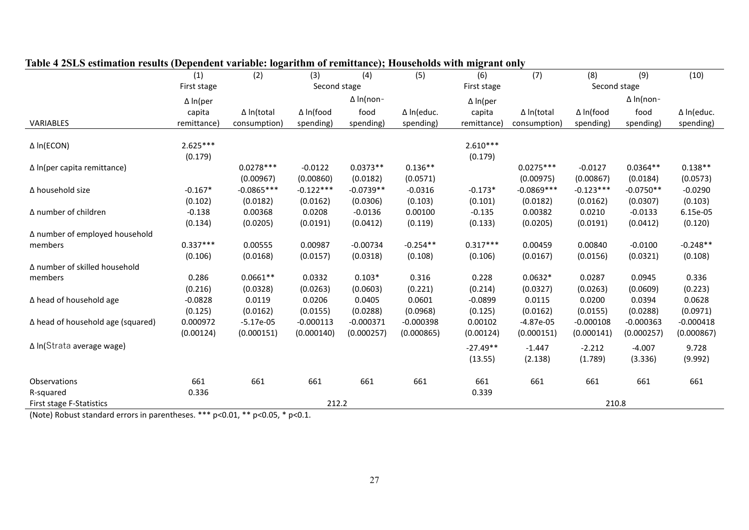|                                   | (1)             | (2)               | (3)          | (4)              | (5)         | (6)             | (7)               | (8)              | (9)              | (10)        |
|-----------------------------------|-----------------|-------------------|--------------|------------------|-------------|-----------------|-------------------|------------------|------------------|-------------|
|                                   | First stage     |                   | Second stage |                  |             | First stage     |                   | Second stage     |                  |             |
|                                   | $\Delta$ In(per |                   |              | $\Delta$ In(non- |             | $\Delta$ In(per |                   |                  | $\Delta$ In(non- |             |
|                                   | capita          | $\Delta$ In(total | ∆ In(food    | food             | ∆ In(educ.  | capita          | $\Delta$ In(total | $\Delta$ In(food | food             | ∆ In(educ.  |
| <b>VARIABLES</b>                  | remittance)     | consumption)      | spending)    | spending)        | spending)   | remittance)     | consumption)      | spending)        | spending)        | spending)   |
|                                   |                 |                   |              |                  |             |                 |                   |                  |                  |             |
| $\Delta$ In(ECON)                 | $2.625***$      |                   |              |                  |             | $2.610***$      |                   |                  |                  |             |
|                                   | (0.179)         |                   |              |                  |             | (0.179)         |                   |                  |                  |             |
| ∆ In(per capita remittance)       |                 | $0.0278***$       | $-0.0122$    | $0.0373**$       | $0.136**$   |                 | $0.0275***$       | $-0.0127$        | $0.0364**$       | $0.138**$   |
|                                   |                 | (0.00967)         | (0.00860)    | (0.0182)         | (0.0571)    |                 | (0.00975)         | (0.00867)        | (0.0184)         | (0.0573)    |
| ∆ household size                  | $-0.167*$       | $-0.0865***$      | $-0.122***$  | $-0.0739**$      | $-0.0316$   | $-0.173*$       | $-0.0869***$      | $-0.123***$      | $-0.0750**$      | $-0.0290$   |
|                                   | (0.102)         | (0.0182)          | (0.0162)     | (0.0306)         | (0.103)     | (0.101)         | (0.0182)          | (0.0162)         | (0.0307)         | (0.103)     |
| ∆ number of children              | $-0.138$        | 0.00368           | 0.0208       | $-0.0136$        | 0.00100     | $-0.135$        | 0.00382           | 0.0210           | $-0.0133$        | 6.15e-05    |
|                                   | (0.134)         | (0.0205)          | (0.0191)     | (0.0412)         | (0.119)     | (0.133)         | (0.0205)          | (0.0191)         | (0.0412)         | (0.120)     |
| ∆ number of employed household    |                 |                   |              |                  |             |                 |                   |                  |                  |             |
| members                           | $0.337***$      | 0.00555           | 0.00987      | $-0.00734$       | $-0.254**$  | $0.317***$      | 0.00459           | 0.00840          | $-0.0100$        | $-0.248**$  |
|                                   | (0.106)         | (0.0168)          | (0.0157)     | (0.0318)         | (0.108)     | (0.106)         | (0.0167)          | (0.0156)         | (0.0321)         | (0.108)     |
| ∆ number of skilled household     |                 |                   |              |                  |             |                 |                   |                  |                  |             |
| members                           | 0.286           | $0.0661**$        | 0.0332       | $0.103*$         | 0.316       | 0.228           | $0.0632*$         | 0.0287           | 0.0945           | 0.336       |
|                                   | (0.216)         | (0.0328)          | (0.0263)     | (0.0603)         | (0.221)     | (0.214)         | (0.0327)          | (0.0263)         | (0.0609)         | (0.223)     |
| ∆ head of household age           | $-0.0828$       | 0.0119            | 0.0206       | 0.0405           | 0.0601      | $-0.0899$       | 0.0115            | 0.0200           | 0.0394           | 0.0628      |
|                                   | (0.125)         | (0.0162)          | (0.0155)     | (0.0288)         | (0.0968)    | (0.125)         | (0.0162)          | (0.0155)         | (0.0288)         | (0.0971)    |
| ∆ head of household age (squared) | 0.000972        | $-5.17e-05$       | $-0.000113$  | $-0.000371$      | $-0.000398$ | 0.00102         | $-4.87e-05$       | $-0.000108$      | $-0.000363$      | $-0.000418$ |
|                                   | (0.00124)       | (0.000151)        | (0.000140)   | (0.000257)       | (0.000865)  | (0.00124)       | (0.000151)        | (0.000141)       | (0.000257)       | (0.000867)  |
| $\Delta$ In(Strata average wage)  |                 |                   |              |                  |             | $-27.49**$      | $-1.447$          | $-2.212$         | $-4.007$         | 9.728       |
|                                   |                 |                   |              |                  |             | (13.55)         | (2.138)           | (1.789)          | (3.336)          | (9.992)     |
|                                   |                 |                   |              |                  |             |                 |                   |                  |                  |             |
| Observations                      | 661             | 661               | 661          | 661              | 661         | 661             | 661               | 661              | 661              | 661         |
| R-squared                         | 0.336           |                   |              |                  |             | 0.339           |                   |                  |                  |             |
| First stage F-Statistics          |                 |                   | 212.2        |                  |             |                 |                   | 210.8            |                  |             |

### **Table 4 2SLS estimation results (Dependent variable: logarithm of remittance); Households with migrant only**